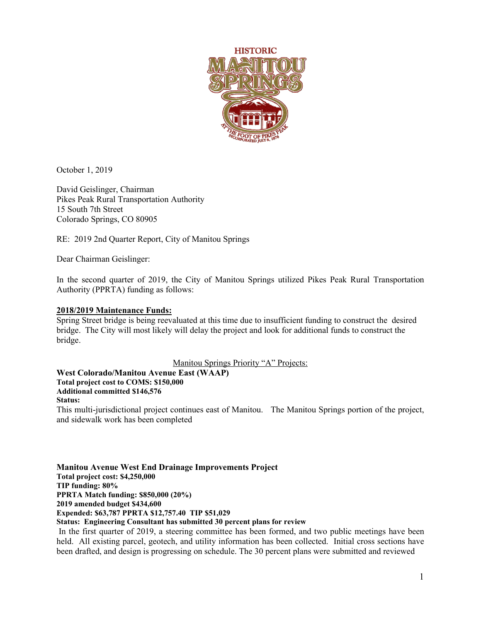

October 1, 2019

David Geislinger, Chairman Pikes Peak Rural Transportation Authority 15 South 7th Street Colorado Springs, CO 80905

RE: 2019 2nd Quarter Report, City of Manitou Springs

Dear Chairman Geislinger:

In the second quarter of 2019, the City of Manitou Springs utilized Pikes Peak Rural Transportation Authority (PPRTA) funding as follows:

## **2018/2019 Maintenance Funds:**

Spring Street bridge is being reevaluated at this time due to insufficient funding to construct the desired bridge. The City will most likely will delay the project and look for additional funds to construct the bridge.

Manitou Springs Priority "A" Projects:

**West Colorado/Manitou Avenue East (WAAP)**

**Total project cost to COMS: \$150,000**

**Additional committed \$146,576**

## **Status:**

This multi-jurisdictional project continues east of Manitou. The Manitou Springs portion of the project, and sidewalk work has been completed

**Manitou Avenue West End Drainage Improvements Project Total project cost: \$4,250,000 TIP funding: 80% PPRTA Match funding: \$850,000 (20%) 2019 amended budget \$434,600 Expended: \$63,787 PPRTA \$12,757.40 TIP \$51,029 Status: Engineering Consultant has submitted 30 percent plans for review**

In the first quarter of 2019, a steering committee has been formed, and two public meetings have been held. All existing parcel, geotech, and utility information has been collected. Initial cross sections have been drafted, and design is progressing on schedule. The 30 percent plans were submitted and reviewed